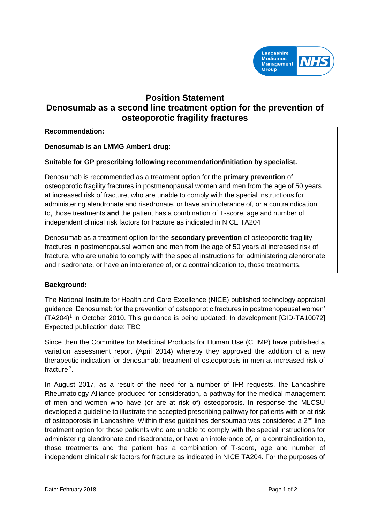

# **Position Statement Denosumab as a second line treatment option for the prevention of osteoporotic fragility fractures**

### **Recommendation:**

**Denosumab is an LMMG Amber1 drug:** 

# **Suitable for GP prescribing following recommendation/initiation by specialist.**

Denosumab is recommended as a treatment option for the **primary prevention** of osteoporotic fragility fractures in postmenopausal women and men from the age of 50 years at increased risk of fracture, who are unable to comply with the special instructions for administering alendronate and risedronate, or have an intolerance of, or a contraindication to, those treatments **and** the patient has a combination of T-score, age and number of independent clinical risk factors for fracture as indicated in NICE TA204

Denosumab as a treatment option for the **secondary prevention** of osteoporotic fragility fractures in postmenopausal women and men from the age of 50 years at increased risk of fracture, who are unable to comply with the special instructions for administering alendronate and risedronate, or have an intolerance of, or a contraindication to, those treatments.

## **Background:**

The National Institute for Health and Care Excellence (NICE) published technology appraisal guidance 'Denosumab for the prevention of osteoporotic fractures in postmenopausal women' (TA204)<sup>1</sup> in October 2010. This guidance is being updated: In development [GID-TA10072] Expected publication date: TBC

Since then the Committee for Medicinal Products for Human Use (CHMP) have published a variation assessment report (April 2014) whereby they approved the addition of a new therapeutic indication for denosumab: treatment of osteoporosis in men at increased risk of fracture<sup>2</sup>.

In August 2017, as a result of the need for a number of IFR requests, the Lancashire Rheumatology Alliance produced for consideration, a pathway for the medical management of men and women who have (or are at risk of) osteoporosis. In response the MLCSU developed a guideline to illustrate the accepted prescribing pathway for patients with or at risk of osteoporosis in Lancashire. Within these guidelines densoumab was considered a 2nd line treatment option for those patients who are unable to comply with the special instructions for administering alendronate and risedronate, or have an intolerance of, or a contraindication to, those treatments and the patient has a combination of T-score, age and number of independent clinical risk factors for fracture as indicated in NICE TA204. For the purposes of